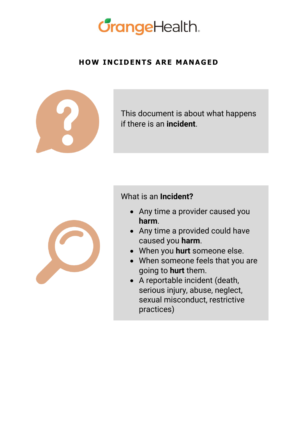

#### **HOW INCIDENTS ARE MANAGED**



This document is about what happens if there is an **incident**.



#### What is an **Incident?**

- Any time a provider caused you **harm**.
- Any time a provided could have caused you **harm**.
- When you **hurt** someone else.
- When someone feels that you are going to **hurt** them.
- A reportable incident (death, serious injury, abuse, neglect, sexual misconduct, restrictive practices)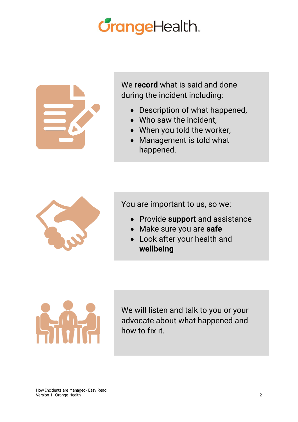# **CrangeHealth.**



We **record** what is said and done during the incident including:

- Description of what happened,
- Who saw the incident,
- When you told the worker,
- Management is told what happened.



You are important to us, so we:

- Provide **support** and assistance
- Make sure you are **safe**
- Look after your health and **wellbeing**



We will listen and talk to you or your advocate about what happened and how to fix it.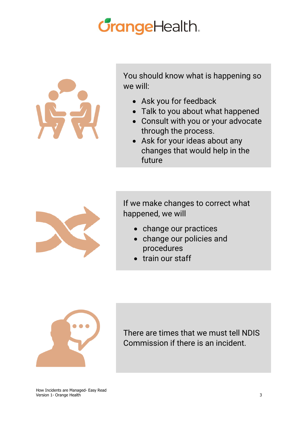# **CrangeHealth.**



You should know what is happening so we will:

- Ask you for feedback
- Talk to you about what happened
- Consult with you or your advocate through the process.
- Ask for your ideas about any changes that would help in the future



If we make changes to correct what happened, we will

- change our practices
- change our policies and procedures
- train our staff



There are times that we must tell NDIS Commission if there is an incident.